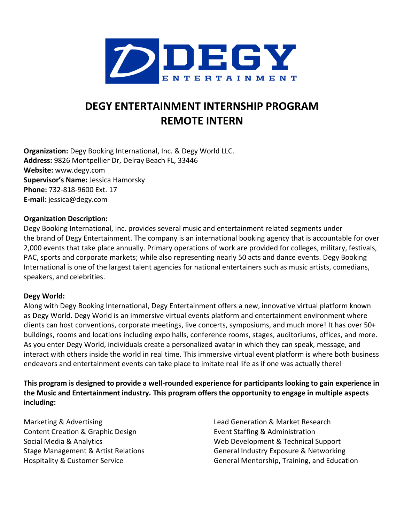

# **DEGY ENTERTAINMENT INTERNSHIP PROGRAM REMOTE INTERN**

**Organization:** Degy Booking International, Inc. & Degy World LLC. **Address:** 9826 Montpellier Dr, Delray Beach FL, 33446 **Website:** www.degy.com **Supervisor's Name:** Jessica Hamorsky **Phone:** 732-818-9600 Ext. 17 **E-mail**: jessica@degy.com

#### **Organization Description:**

Degy Booking International, Inc. provides several music and entertainment related segments under the brand of Degy Entertainment. The company is an international booking agency that is accountable for over 2,000 events that take place annually. Primary operations of work are provided for colleges, military, festivals, PAC, sports and corporate markets; while also representing nearly 50 acts and dance events. Degy Booking International is one of the largest talent agencies for national entertainers such as music artists, comedians, speakers, and celebrities.

#### **Degy World:**

Along with Degy Booking International, Degy Entertainment offers a new, innovative virtual platform known as Degy World. Degy World is an immersive virtual events platform and entertainment environment where clients can host conventions, corporate meetings, live concerts, symposiums, and much more! It has over 50+ buildings, rooms and locations including expo halls, conference rooms, stages, auditoriums, offices, and more. As you enter Degy World, individuals create a personalized avatar in which they can speak, message, and interact with others inside the world in real time. This immersive virtual event platform is where both business endeavors and entertainment events can take place to imitate real life as if one was actually there!

**This program is designed to provide a well-rounded experience for participants looking to gain experience in the Music and Entertainment industry. This program offers the opportunity to engage in multiple aspects including:**

Marketing & Advertising Content Creation & Graphic Design Social Media & Analytics Stage Management & Artist Relations Hospitality & Customer Service

Lead Generation & Market Research Event Staffing & Administration Web Development & Technical Support General Industry Exposure & Networking General Mentorship, Training, and Education